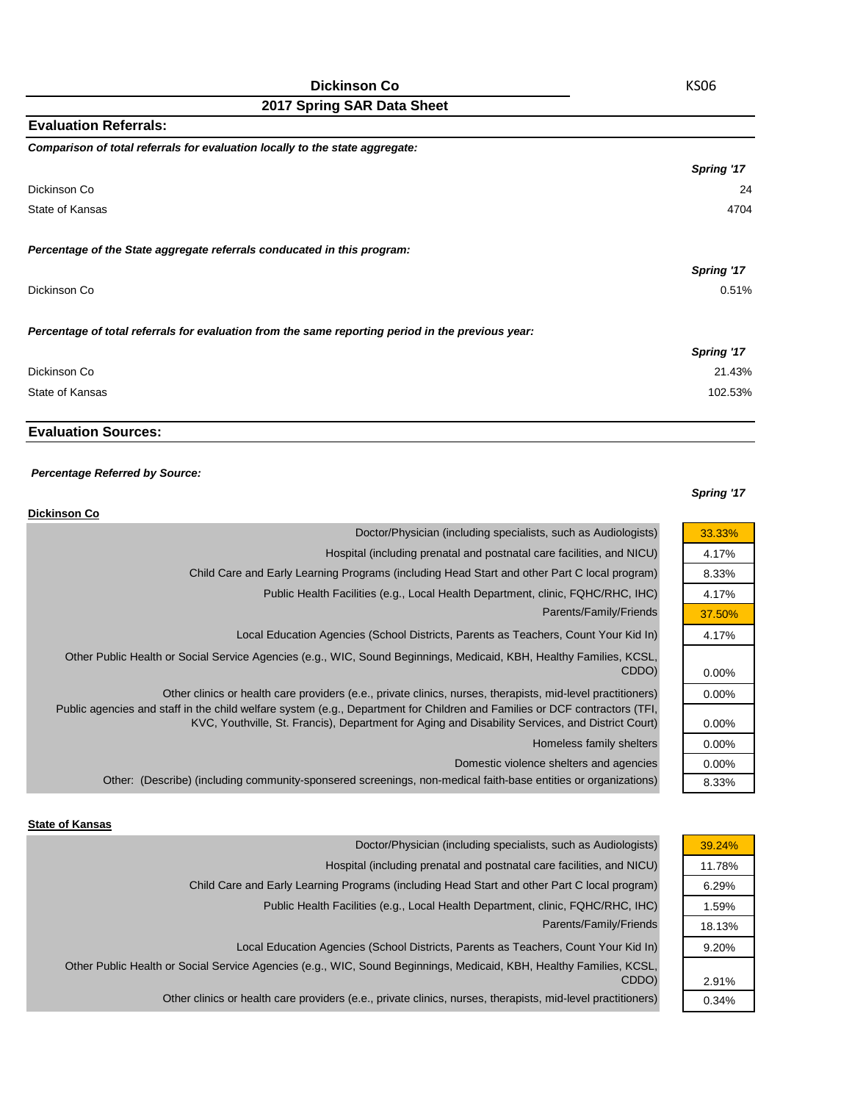| <b>Evaluation Referrals:</b>                                                                      |            |
|---------------------------------------------------------------------------------------------------|------------|
| Comparison of total referrals for evaluation locally to the state aggregate:                      |            |
|                                                                                                   | Spring '17 |
| Dickinson Co                                                                                      | 24         |
| State of Kansas                                                                                   | 4704       |
| Percentage of the State aggregate referrals conducated in this program:                           |            |
|                                                                                                   | Spring '17 |
| Dickinson Co                                                                                      | 0.51%      |
| Percentage of total referrals for evaluation from the same reporting period in the previous year: |            |
|                                                                                                   | Spring '17 |
| Dickinson Co                                                                                      | 21.43%     |
| State of Kansas                                                                                   | 102.53%    |

## **Evaluation Sources:**

#### *Percentage Referred by Source:*

### *Spring '17*

| <b>Dickinson Co</b>                                                                                                                                                                                                            |          |
|--------------------------------------------------------------------------------------------------------------------------------------------------------------------------------------------------------------------------------|----------|
| Doctor/Physician (including specialists, such as Audiologists)                                                                                                                                                                 | 33.33%   |
| Hospital (including prenatal and postnatal care facilities, and NICU)                                                                                                                                                          | 4.17%    |
| Child Care and Early Learning Programs (including Head Start and other Part C local program)                                                                                                                                   | 8.33%    |
| Public Health Facilities (e.g., Local Health Department, clinic, FQHC/RHC, IHC)                                                                                                                                                | 4.17%    |
| Parents/Family/Friends                                                                                                                                                                                                         | 37.50%   |
| Local Education Agencies (School Districts, Parents as Teachers, Count Your Kid In)                                                                                                                                            | 4.17%    |
| Other Public Health or Social Service Agencies (e.g., WIC, Sound Beginnings, Medicaid, KBH, Healthy Families, KCSL,<br>CDDO)                                                                                                   | $0.00\%$ |
| Other clinics or health care providers (e.e., private clinics, nurses, therapists, mid-level practitioners)                                                                                                                    | $0.00\%$ |
| Public agencies and staff in the child welfare system (e.g., Department for Children and Families or DCF contractors (TFI,<br>KVC, Youthville, St. Francis), Department for Aging and Disability Services, and District Court) | 0.00%    |
| Homeless family shelters                                                                                                                                                                                                       | $0.00\%$ |
| Domestic violence shelters and agencies                                                                                                                                                                                        | $0.00\%$ |
| Other: (Describe) (including community-sponsered screenings, non-medical faith-base entities or organizations)                                                                                                                 | 8.33%    |

### **State of Kansas**

| Doctor/Physician (including specialists, such as Audiologists)                                                      | 39.24% |
|---------------------------------------------------------------------------------------------------------------------|--------|
| Hospital (including prenatal and postnatal care facilities, and NICU)                                               | 11.78% |
| Child Care and Early Learning Programs (including Head Start and other Part C local program)                        | 6.29%  |
| Public Health Facilities (e.g., Local Health Department, clinic, FQHC/RHC, IHC)                                     | 1.59%  |
| Parents/Family/Friends                                                                                              | 18.13% |
| Local Education Agencies (School Districts, Parents as Teachers, Count Your Kid In)                                 | 9.20%  |
| Other Public Health or Social Service Agencies (e.g., WIC, Sound Beginnings, Medicaid, KBH, Healthy Families, KCSL, |        |
| CDDO)                                                                                                               | 2.91%  |
| Other clinics or health care providers (e.e., private clinics, nurses, therapists, mid-level practitioners)         | 0.34%  |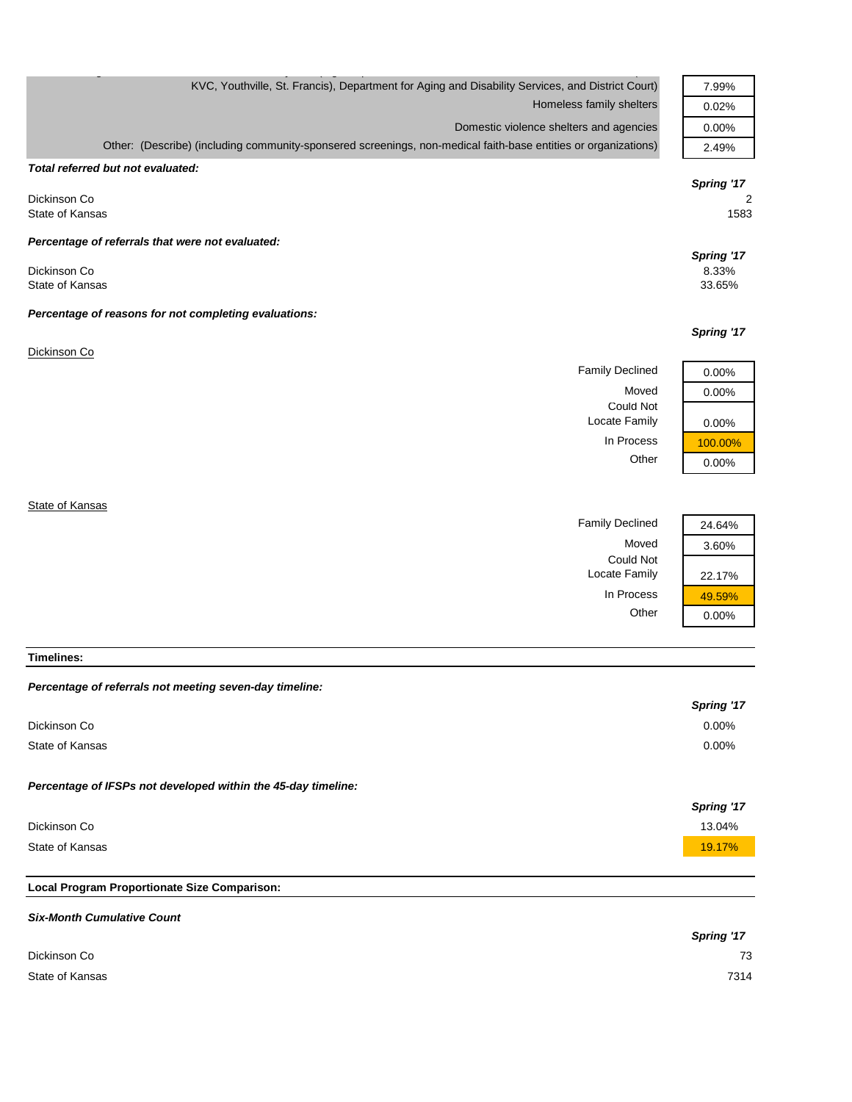| KVC, Youthville, St. Francis), Department for Aging and Disability Services, and District Court)               | 7.99%      |
|----------------------------------------------------------------------------------------------------------------|------------|
| Homeless family shelters                                                                                       | 0.02%      |
| Domestic violence shelters and agencies                                                                        | 0.00%      |
| Other: (Describe) (including community-sponsered screenings, non-medical faith-base entities or organizations) | 2.49%      |
| Total referred but not evaluated:                                                                              |            |
|                                                                                                                | Spring '17 |
| Dickinson Co                                                                                                   | 2          |
| State of Kansas                                                                                                | 1583       |
| Percentage of referrals that were not evaluated:                                                               |            |
|                                                                                                                | Spring '17 |
| Dickinson Co                                                                                                   | 8.33%      |
| State of Kansas                                                                                                | 33.65%     |
| Percentage of reasons for not completing evaluations:                                                          |            |
|                                                                                                                | Spring '17 |
| Dickinson Co                                                                                                   |            |
| <b>Family Declined</b>                                                                                         | 0.00%      |
| Moved                                                                                                          | 0.00%      |
| Could Not                                                                                                      |            |
| Locate Family                                                                                                  | 0.00%      |
| In Process                                                                                                     | 100.00%    |
| Other                                                                                                          | 0.00%      |
|                                                                                                                |            |
| State of Kansas                                                                                                |            |
| <b>Family Declined</b>                                                                                         | 24.64%     |
|                                                                                                                |            |

Moved 3.60%

Locate Family 22.17%

In Process  $\frac{49.59\%}{0.00\%}$ 

 $0.00%$ 

Could Not

**Timelines:**

| Percentage of referrals not meeting seven-day timeline:       |            |
|---------------------------------------------------------------|------------|
|                                                               | Spring '17 |
| Dickinson Co                                                  | $0.00\%$   |
| State of Kansas                                               | 0.00%      |
|                                                               |            |
| Percentage of IFSPs not developed within the 45-day timeline: |            |
|                                                               | Spring '17 |
| Dickinson Co                                                  | 13.04%     |
| State of Kansas                                               | 19.17%     |
|                                                               |            |
| Local Program Proportionate Size Comparison:                  |            |

# *Six-Month Cumulative Count Spring '17* Dickinson Co 73 State of Kansas 7314